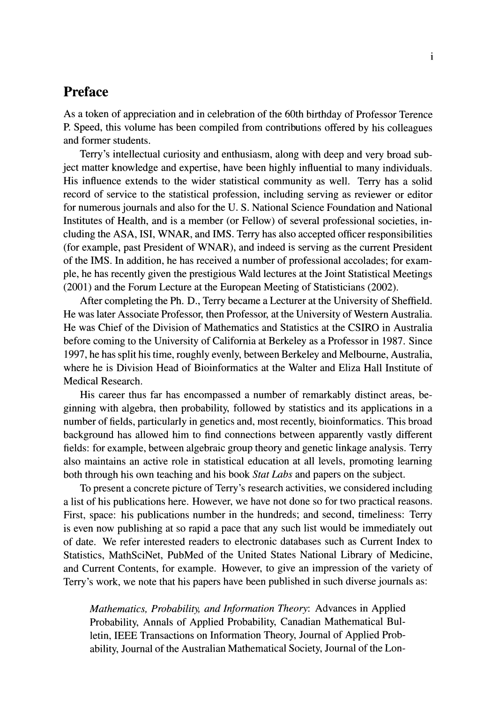## **Preface**

As a token of appreciation and in celebration of the 60th birthday of Professor Terence P. Speed, this volume has been compiled from contributions offered by his colleagues and former students.

Terry's intellectual curiosity and enthusiasm, along with deep and very broad subject matter knowledge and expertise, have been highly influential to many individuals. His influence extends to the wider statistical community as well. Terry has a solid record of service to the statistical profession, including serving as reviewer or editor for numerous journals and also for the U. S. National Science Foundation and National Institutes of Health, and is a member (or Fellow) of several professional societies, including the ASA, LSI, WNAR, and IMS. Terry has also accepted officer responsibilities (for example, past President of WNAR), and indeed is serving as the current President of the IMS. In addition, he has received a number of professional accolades; for example, he has recently given the prestigious Wald lectures at the Joint Statistical Meetings (2001) and the Forum Lecture at the European Meeting of Statisticians (2002).

After completing the Ph. D., Terry became a Lecturer at the University of Sheffield. He was later Associate Professor, then Professor, at the University of Western Australia. He was Chief of the Division of Mathematics and Statistics at the CSIRO in Australia before coming to the University of California at Berkeley as a Professor in 1987. Since 1997, he has split his time, roughly evenly, between Berkeley and Melbourne, Australia, where he is Division Head of Bioinformatics at the Walter and Eliza Hall Institute of Medical Research.

His career thus far has encompassed a number of remarkably distinct areas, beginning with algebra, then probability, followed by statistics and its applications in a number of fields, particularly in genetics and, most recently, bioinformatics. This broad background has allowed him to find connections between apparently vastly different fields: for example, between algebraic group theory and genetic linkage analysis. Terry also maintains an active role in statistical education at all levels, promoting learning both through his own teaching and his book *Stat Labs* and papers on the subject.

To present a concrete picture of Terry's research activities, we considered including a list of his publications here. However, we have not done so for two practical reasons. First, space: his publications number in the hundreds; and second, timeliness: Terry is even now publishing at so rapid a pace that any such list would be immediately out of date. We refer interested readers to electronic databases such as Current Index to Statistics, MathSciNet, PubMed of the United States National Library of Medicine, and Current Contents, for example. However, to give an impression of the variety of Terry's work, we note that his papers have been published in such diverse journals as:

*Mathematics, Probability, and Information Theory:* Advances in Applied Probability, Annals of Applied Probability, Canadian Mathematical Bulletin, IEEE Transactions on Information Theory, Journal of Applied Probability, Journal of the Australian Mathematical Society, Journal of the Lon